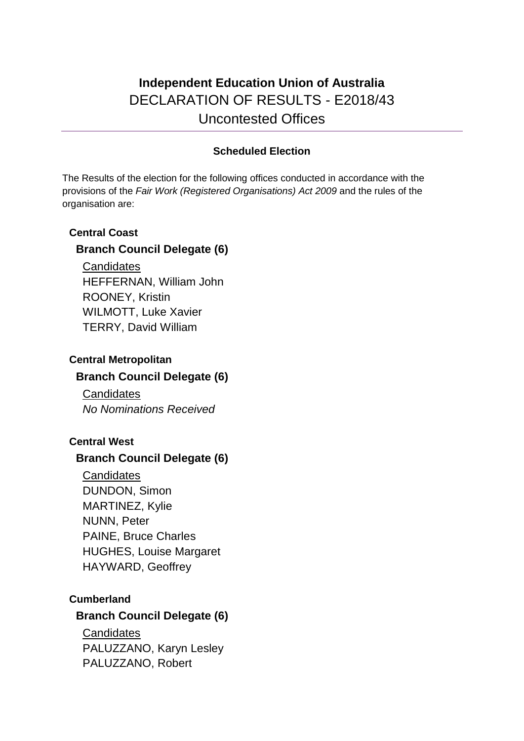## **Independent Education Union of Australia** DECLARATION OF RESULTS - E2018/43 Uncontested Offices

## **Scheduled Election**

The Results of the election for the following offices conducted in accordance with the provisions of the *Fair Work (Registered Organisations) Act 2009* and the rules of the organisation are:

#### **Central Coast**

## **Branch Council Delegate (6)**

**Candidates** HEFFERNAN, William John ROONEY, Kristin WILMOTT, Luke Xavier TERRY, David William

## **Central Metropolitan Branch Council Delegate (6)**

**Candidates** *No Nominations Received*

## **Central West**

## **Branch Council Delegate (6)**

**Candidates** DUNDON, Simon MARTINEZ, Kylie NUNN, Peter PAINE, Bruce Charles HUGHES, Louise Margaret HAYWARD, Geoffrey

## **Cumberland**

## **Branch Council Delegate (6)**

**Candidates** PALUZZANO, Karyn Lesley PALUZZANO, Robert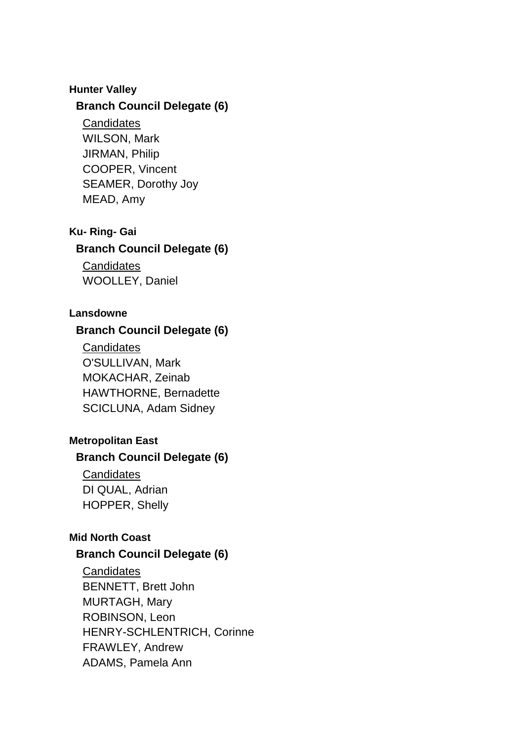#### **Hunter Valley**

#### **Branch Council Delegate (6)**

**Candidates** 

WILSON, Mark JIRMAN, Philip COOPER, Vincent SEAMER, Dorothy Joy MEAD, Amy

#### **Ku- Ring- Gai**

#### **Branch Council Delegate (6)**

**Candidates** WOOLLEY, Daniel

#### **Lansdowne**

## **Branch Council Delegate (6)**

**Candidates** O'SULLIVAN, Mark MOKACHAR, Zeinab HAWTHORNE, Bernadette SCICLUNA, Adam Sidney

#### **Metropolitan East**

#### **Branch Council Delegate (6)**

**Candidates** DI QUAL, Adrian HOPPER, Shelly

## **Mid North Coast**

## **Branch Council Delegate (6)**

**Candidates** BENNETT, Brett John MURTAGH, Mary ROBINSON, Leon HENRY-SCHLENTRICH, Corinne FRAWLEY, Andrew ADAMS, Pamela Ann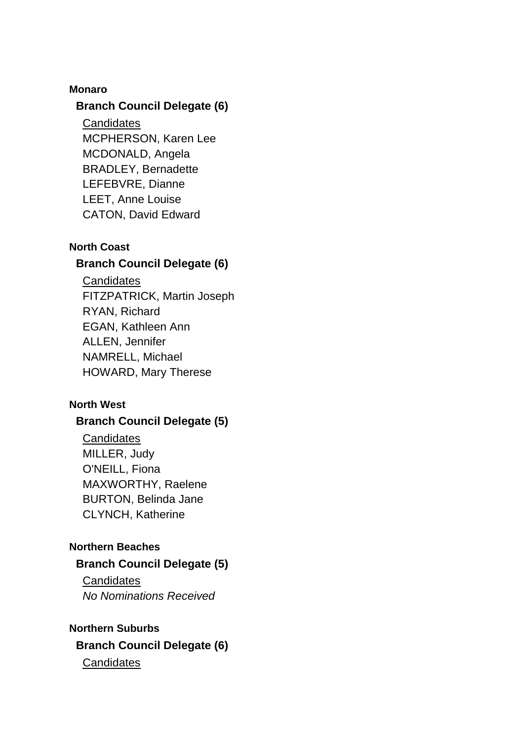#### **Monaro**

#### **Branch Council Delegate (6)**

**Candidates** MCPHERSON, Karen Lee MCDONALD, Angela BRADLEY, Bernadette LEFEBVRE, Dianne LEET, Anne Louise CATON, David Edward

## **North Coast**

#### **Branch Council Delegate (6)**

**Candidates** FITZPATRICK, Martin Joseph

RYAN, Richard EGAN, Kathleen Ann ALLEN, Jennifer NAMRELL, Michael HOWARD, Mary Therese

## **North West**

## **Branch Council Delegate (5)**

**Candidates** MILLER, Judy O'NEILL, Fiona MAXWORTHY, Raelene BURTON, Belinda Jane CLYNCH, Katherine

## **Northern Beaches**

#### **Branch Council Delegate (5)**

**Candidates** *No Nominations Received*

#### **Northern Suburbs**

**Branch Council Delegate (6) Candidates**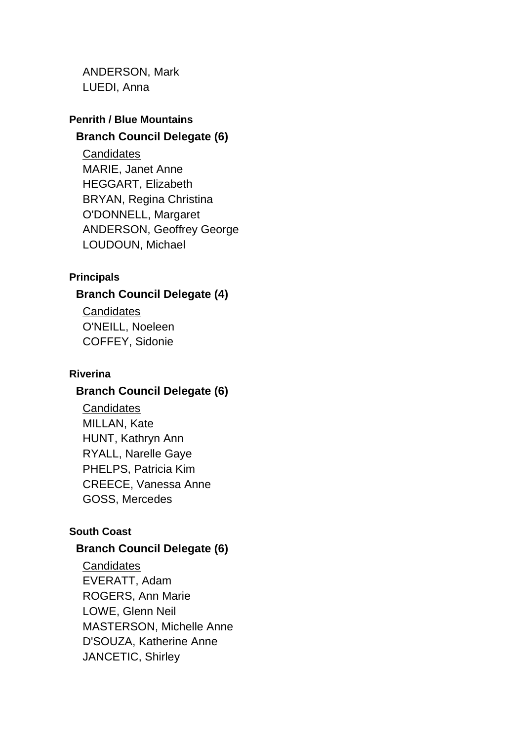ANDERSON, Mark LUEDI, Anna

# **Penrith / Blue Mountains**

## **Branch Council Delegate (6)**

**Candidates** MARIE, Janet Anne HEGGART, Elizabeth BRYAN, Regina Christina O'DONNELL, Margaret ANDERSON, Geoffrey George LOUDOUN, Michael

#### **Principals**

## **Branch Council Delegate (4)**

**Candidates** O'NEILL, Noeleen COFFEY, Sidonie

#### **Riverina**

## **Branch Council Delegate (6)**

**Candidates** MILLAN, Kate HUNT, Kathryn Ann RYALL, Narelle Gaye PHELPS, Patricia Kim CREECE, Vanessa Anne GOSS, Mercedes

## **South Coast**

## **Branch Council Delegate (6)**

**Candidates** EVERATT, Adam ROGERS, Ann Marie LOWE, Glenn Neil MASTERSON, Michelle Anne D'SOUZA, Katherine Anne JANCETIC, Shirley